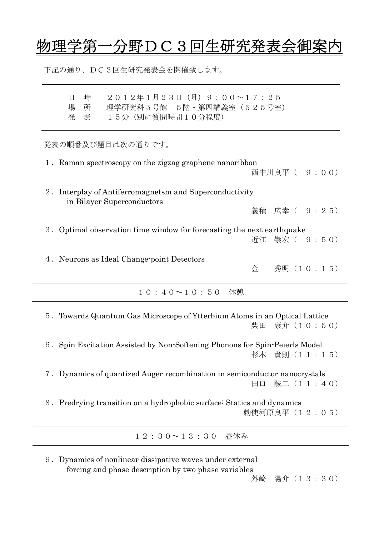## 物理学第一分野DC3回生研究発表会御

下記の通り、DC3回生研究発表会を開催致します。

| 時<br>2012年1月23日 (月) 9:00~17:25<br>日<br>理学研究科 5 号館 5階 · 第四講義室 (525号室)<br>場<br>所<br>15分 (別に質問時間10分程度)<br>発<br>表 |
|---------------------------------------------------------------------------------------------------------------|
| 発表の順番及び題目は次の通りです。                                                                                             |
| 1. Raman spectroscopy on the zigzag graphene nanoribbon<br>西中川良平 ( 9:00)                                      |
| 2. Interplay of Antiferromagnetsm and Superconductivity<br>in Bilayer Superconductors                         |
| 義積 広幸 ( 9:25)                                                                                                 |
| 3. Optimal observation time window for forecasting the next earthquake<br>崇宏( 9 : 5 0)<br>近江                  |
| 4. Neurons as Ideal Change-point Detectors<br>秀明 (10:15)<br>金                                                 |
| $10:40 \sim 10:50$<br>休憩                                                                                      |
| 5. Towards Quantum Gas Microscope of Ytterbium Atoms in an Optical Lattice<br>康介(10:50)<br>柴田                 |
| 6. Spin Excitation Assisted by Non-Softening Phonons for Spin-Peierls Model<br>杉本 貴則 (11:15)                  |
| 7. Dynamics of quantized Auger recombination in semiconductor nanocrystals<br>田口 誠二 (11:40)                   |
| 8. Predrying transition on a hydrophobic surface: Statics and dynamics<br>勅使河原良平 (12:05)                      |
| 12:30~13:30 昼休み                                                                                               |

9.Dynamics of nonlinear dissipative waves under external forcing and phase description by two phase variables

外崎 陽介(13:30)